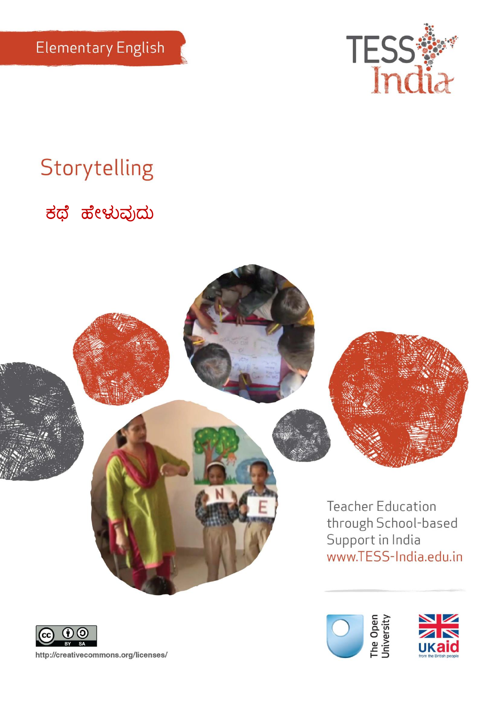

# Storytelling

# ಕಥೆ ಹೇಳುವುದು







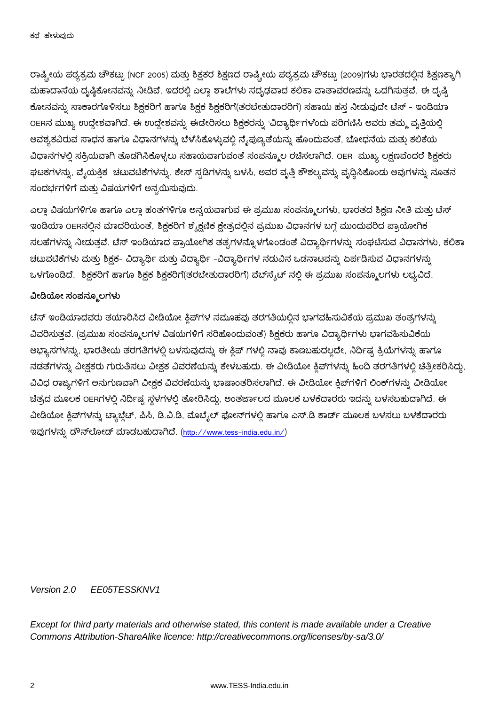ರಾಷ್ಟ್ರೀಯ ಪಠ್ಯಕ್ರಮ ಚೌಕಟ್ಟು (NCF 2005) ಮತ್ತು ಶಿಕ್ಷಕರ ಶಿಕ್ಷಣದ ರಾಷ್ಟ್ರೀಯ ಪಠ್ಯಕ್ರಮ ಚೌಕಟ್ಟು (2009)ಗಳು ಭಾರತದಲ್ಲಿನ ಶಿಕ್ಷಣಕ್ಕಾಗಿ . ಮಹಾದಾಸೆಯ ದೃಷ್ಠಿಕೋನವನ್ನು ನೀಡಿವೆ. ಇದರಲ್ಲಿ ಎಲ್ಲಾ ಶಾಲೆಗಳು ಸದೃಢವಾದ ಕಲಿಕಾ ವಾತಾವರಣವನ್ನು ಒದಗಿಸುತ್ತವೆ. ಈ ದೃಷ್ಟಿ ಕೋನವನ್ನು ಸಾಕಾರಗೊಳಿಸಲು ಶಿಕ್ಷಕರಿಗೆ ಹಾಗೂ ಶಿಕ್ಷಕ ಶಿಕ್ಷಕರಿಗೆ(ತರಬೇತುದಾರರಿಗೆ) ಸಹಾಯ ಹಸ್ತ ನೀಡುವುದೇ ಟೆಸ್ - ಇಂಡಿಯಾ OERನ ಮುಖ್ಯ ಉದ್ದೇಶವಾಗಿದೆ. ಈ ಉದ್ದೇಶವನ್ನು ಈಡೇರಿಸಲು ಶಿಕ್ಷಕರನ್ನು 'ವಿದ್ಯಾರ್ಥಿ'ಗಳೆಂದು ಪರಿಗಣಿಸಿ ಅವರು ತಮ್ಮ ವೃತ್ತಿಯಲ್ಲಿ ಅವಶ್ಯಕವಿರುವ ಸಾಧನ ಹಾಗೂ ವಿಧಾನಗಳನ್ನು ಬೆಳೆಸಿಕೊಳ್ಳುವಲ್ಲಿ ನೈಪುಣ್ಯತೆಯನ್ನು ಹೊಂದುವಂತೆ, ಬೋಧನೆಯ ಮತ್ತು ಕಲಿಕೆಯ ವಿಧಾನಗಳಲ್ಲಿ ಸಕ್ರಿಯವಾಗಿ ತೊಡಗಿಸಿಕೊಳ್ಳಲು ಸಹಾಯವಾಗುವಂತೆ ಸಂಪನ್ಮೂಲ ರಚಿಸಲಾಗಿದೆ. OER ಮುಖ್ಯ ಲಕ್ಷಣವೆಂದರೆ ಶಿಕ್ಷಕರು ಘಟಕಗಳನ್ನು, ವೈಯಕ್ತಿಕ ಚಟುವಟಿಕೆಗಳನ್ನು, ಕೇಸ್ ಸ್ಪಡಿಗಳನ್ನು ಬಳಸಿ, ಅವರ ವೃತ್ತಿ ಕೌಶಲ್ಯವನ್ನು ವೃದ್ಧಿಸಿಕೊಂಡು ಅವುಗಳನ್ನು ನೂತನ ಸಂದರ್ಭಗಳಿಗೆ ಮತು ವಿಷಯಗಳಿಗೆ ಅನ್ವಯಿಸುವುದು.

ಎಲ್ಲಾ ವಿಷಯಗಳಿಗೂ ಹಾಗೂ ಎಲ್ಲಾ ಹಂತಗಳಿಗೂ ಅನ್ವಯವಾಗುವ ಈ ಪ್ರಮುಖ ಸಂಪನ್ಮೂಲಗಳು, ಭಾರತದ ಶಿಕ್ಷಣ ನೀತಿ ಮತ್ತು ಟೆಸ್ ಇಂಡಿಯಾ OERನಲ್ಲಿನ ಮಾದರಿಯಂತೆ, ಶಿಕ್ಷಕರಿಗೆ ಶ್ಶೆಕ್ಷಣಿಕ ಕ್ಷೇತ್ರದಲ್ಲಿನ ಪ್ರಮುಖ ವಿಧಾನಗಳ ಬಗ್ಗೆ ಮುಂದುವರಿದ ಪ್ರಾಯೋಗಿಕ ಸಲಹೆಗಳನ್ನು ನೀಡುತ್ತವೆ. ಟೆಸ್ ಇಂಡಿಯಾದ ಪ್ರಾಯೋಗಿಕ ತತ್ವಗಳನ್ನೊಳಗೊಂಡಂತೆ ವಿದ್ಯಾರ್ಥಿಗಳನ್ನು ಸಂಘಟಿಸುವ ವಿಧಾನಗಳು, ಕಲಿಕಾ ಚಟುವಟಿಕೆಗಳು ಮತ್ತು ಶಿಕ್ಷಕ- ವಿದ್ಯಾರ್ಥಿ ಮತ್ತು ವಿದ್ಯಾರ್ಥಿ –ವಿದ್ಯಾರ್ಥಿಗಳ ನಡುವಿನ ಒಡನಾಟವನ್ನು ಏರ್ಪಡಿಸುವ ವಿಧಾನಗಳನ್ನು ಒಳಗೊಂಡಿದೆ. ಶಿಕ್ಷಕರಿಗೆ ಹಾಗೂ ಶಿಕ್ಷಕ ಶಿಕ್ಷಕರಿಗೆ(ತರಬೇತುದಾರರಿಗೆ) ವೆಬ್ಸೈಟ್ ನಲ್ಲಿ ಈ ಪ್ರಮುಖ ಸಂಪನ್ಮೂಲಗಳು ಲಭ್ಯವಿದೆ.

#### **ವೀಡಿಯೀ ಸಂಪನ್ಮೂಲಗಳು**

ಟೆಸ್ ಇಂಡಿಯಾದವರು ತಯಾರಿಸಿದ ವೀಡಿಯೋ ಕ್ತಿಪ್ಗಳ ಸಮೂಹವು ತರಗತಿಯಲ್ಲಿನ ಭಾಗವಹಿಸುವಿಕೆಯ ಪ್ರಮುಖ ತಂತ್ರಗಳನ್ನು ವಿವರಿಸುತ್ತವೆ. (ಪ್ರಮುಖ ಸಂಪನ್ಮೂಲಗಳ ವಿಷಯಗಳಿಗೆ ಸರಿಹೊಂದುವಂತೆ) ಶಿಕ್ಷಕರು ಹಾಗೂ ವಿದ್ಯಾರ್ಥಿಗಳು ಭಾಗವಹಿಸುವಿಕೆಯ ಅಭ್ಯಾಸಗಳನ್ನು, ಭಾರತೀಯ ತರಗತಿಗಳಲ್ಲಿ ಬಳಸುವುದನ್ನು ಈ ಕ್ಲಿಪ್ ಗಳಲ್ಲಿ ನಾವು ಕಾಣಬಹುದಲ್ಲದೇ, ನಿರ್ದಿಷ್ಟ ಕ್ರಿಯೆಗಳನ್ನು ಹಾಗೂ ನಡತೆಗಳನ್ನು ವೀಕ್ಷಕರು ಗುರುತಿಸಲು ವೀಕ್ಷಕ ವಿವರಣೆಯನ್ನು ಕೇಳಬಹುದು. ಈ ವೀಡಿಯೋ ಕ್ಲಿಪ್1ಳನ್ನು ಹಿಂದಿ ತರಗತಿಗಳಲ್ಲಿ ಚಿತ್ರೀಕರಿಸಿದ್ದು, ವಿವಿಧ ರಾಜ್ಯಗಳಿಗೆ ಅನುಗುಣವಾಗಿ ವೀಕ್ಷಕ ವಿವರಣೆಯನ್ನು ಭಾಷಾಂತರಿಸಲಾಗಿದೆ. ಈ ವೀಡಿಯೋ ಕ್ಲಿಪ್1ಳಿಗೆ ಲಿಂಕ್1ಳನ್ನು ವೀಡಿಯೋ ಚಿತ್ರದ ಮೂಲಕ OERಗಳಲ್ಲಿ ನಿರ್ದಿಷ್ಪ ಸ್ಥಳಗಳಲ್ಲಿ ತೋರಿಸಿದ್ದು, ಅಂತರ್ಜಾಲದ ಮೂಲಕ ಬಳಕೆದಾರರು ಇದನ್ನು ಬಳಸಬಹುದಾಗಿದೆ. ಈ ವೀಡಿಯೋ ಕ್ಲಿಪ್ಗಳನ್ನು ಟ್ಯಾಬ್ಜೆಟ್, ಪಿಸಿ, ಡಿ.ವಿ.ಡಿ, ಮೊಬ್ಶೆಲ್ ಫೋನ್ಗಳಲ್ಲಿ ಹಾಗೂ ಎಸ್.ಡಿ ಕಾರ್ಡ್ ಮೂಲಕ ಬಳಸಲು ಬಳಕೆದಾರರು ಇವುಗಳನ್ನು ಡೌನ್ಲೋಡ್ ಮಾಡಬಹುದಾಗಿದೆ. ([http://www.tess-india.edu.in/\)](http://www.tess-india.edu.in/)

#### *Version 2.0 EE05TESSKNV1*

*Except for third party materials and otherwise stated, this content is made available under a Creative Commons Attribution-ShareAlike licence: http://creativecommons.org/licenses/by-sa/3.0/*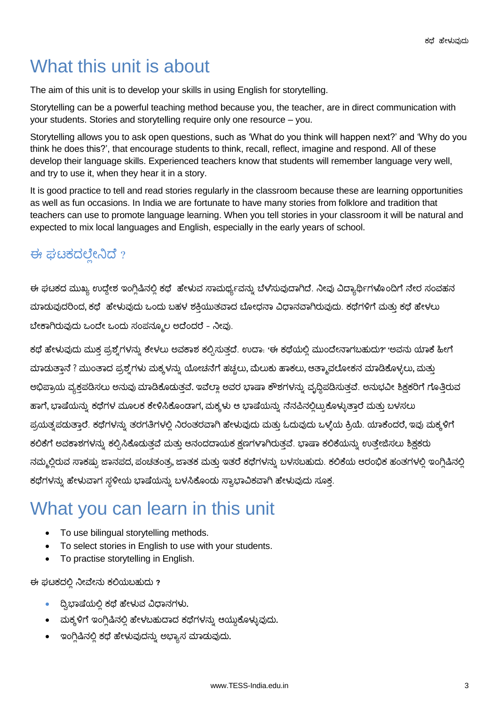# What this unit is about

The aim of this unit is to develop your skills in using English for storytelling.

Storytelling can be a powerful teaching method because you, the teacher, are in direct communication with your students. Stories and storytelling require only one resource – you.

Storytelling allows you to ask open questions, such as 'What do you think will happen next?' and 'Why do you think he does this?', that encourage students to think, recall, reflect, imagine and respond. All of these develop their language skills. Experienced teachers know that students will remember language very well, and try to use it, when they hear it in a story.

It is good practice to tell and read stories regularly in the classroom because these are learning opportunities as well as fun occasions. In India we are fortunate to have many stories from folklore and tradition that teachers can use to promote language learning. When you tell stories in your classroom it will be natural and expected to mix local languages and English, especially in the early years of school.

## ಈ ಘಟಕದಲ್ಲೇನಿದೆ ?

ಈ ಘಟಕದ ಮುಖ್ಯ ಉದ್ದೇಶ ಇಂಗ್ಲಿಷಿನಲ್ಲಿ ಕಥೆ ಹೇಳುವ ಸಾಮರ್ಥ್ಯವನ್ನು ಬೆಳೆಸುವುದಾಗಿದೆ. ನೀವು ವಿದ್ಯಾರ್ಥಿಗಳೊಂದಿಗೆ ನೇರ ಸಂವಹನ ಮಾಡುವುದರಿಂದ, ಕಥೆ ಹೇಳುವುದು ಒಂದು ಬಹಳ ಶಕಿಯುತವಾದ ಬೋಧನಾ ವಿಧಾನವಾಗಿರುವುದು. ಕಥೆಗಳಿಗೆ ಮತು ಕಥೆ ಹೇಳಲು ಬೇಕಾಗಿರುವುದು ಒಂದೇ ಒಂದು ಸಂಪನ್ಮೂಲ ಅದೆಂದರೆ - ನೀವು.

ಕಥೆ ಹೇಳುವುದು ಮುಕ್ತ ಪ್ರಶ್ನೆಗಳನ್ನು ಕೇಳಲು ಅವಕಾಶ ಕಲ್ಪಿಸುತ್ತದೆ. ಉದಾ: 'ಈ ಕಥೆಯಲ್ಲಿ ಮುಂದೇನಾಗಬಹುದು?' 'ಅವನು ಯಾಕೆ ಹೀಗೆ ಮಾಡುತ್ತಾನೆ ? ಮುಂತಾದ ಪ್ರಶ್ನೆಗಳು ಮಕ್ಕಳನ್ನು ಯೋಚನೆಗೆ ಹಚ್ಚಲು, ಮೆಲುಕು ಹಾಕಲು, ಆತ್ಮಾವಲೋಕನ ಮಾಡಿಕೊಳ್ಳಲು, ಮತ್ತು ಅಭಿಪ್ರಾಯ ವ್ಯಕ್ತಪಡಿಸಲು ಅನುವು ಮಾಡಿಕೊಡುತ್ತವೆ. ಇವೆಲ್ಲಾ ಅವರ ಭಾಷಾ ಕೌಶಗಳನ್ನು ವೃದ್ಧಿಪಡಿಸುತ್ತವೆ. ಅನುಭವೀ ಶಿಕ್ಷಕರಿಗೆ ಗೊತ್ತಿರುವ ಹಾಗೆ, ಭಾಷೆಯನ್ನು ಕಥೆಗಳ ಮೂಲಕ ಕೇಳಿಸಿಕೊಂಡಾಗ, ಮಕ್ಕಳು ಆ ಭಾಷೆಯನ್ನು ನೆನಪಿನಲ್ಲಿಟ್ನುಕೊಳ್ಳುತ್ತಾರೆ ಮತ್ತು ಬಳಸಲು ಪ್ರಯತ್ತಪಡುತ್ತಾರೆ. ಕಥೆಗಳನ್ನು ತರಗತಿಗಳಲ್ಲಿ ನಿರಂತರವಾಗಿ ಹೇಳುವುದು ಮತ್ತು ಓದುವುದು ಒಳ್ಳೆಯ ಕ್ರಿಯೆ. ಯಾಕೆಂದರೆ, ಇವು ಮಕ್ಕಳಿಗೆ ಕಲಿಕೆಗೆ ಅವಕಾಶಗಳನ್ನು ಕಲ್ಪಿಸಿಕೊಡುತ್ತವೆ ಮತ್ತು ಆನಂದದಾಯಕ ಕ್ಷಣಗಳಾಗಿರುತ್ತವೆ. ಭಾಷಾ ಕಲಿಕೆಯನ್ನು ಉತ್ತೇಜಿಸಲು ಶಿಕ್ಷಕರು ನಮ್ಮಲ್ಲಿರುವ ಸಾಕಷ್ಟು ಜಾನಪದ, ಪಂಚತಂತ್ರ, ಜಾತಕ ಮತ್ತು ಇತರೆ ಕಥೆಗಳನ್ನು ಬಳಸಬಹುದು. ಕಲಿಕೆಯ ಆರಂಭಿಕ ಹಂತಗಳಲ್ಲಿ ಇಂಗ್ಲಿಷಿನಲ್ಲಿ ಕಥೆಗಳನ್ನು ಹೇಳುವಾಗ ಸ್ಥಳೀಯ ಭಾಷೆಯನ್ನು ಬಳಸಿಕೊಂಡು ಸ್ವಾಭಾವಿಕವಾಗಿ ಹೇಳುವುದು ಸೂಕ್ತ.

# What you can learn in this unit

- To use bilingual storytelling methods.
- To select stories in English to use with your students.
- To practise storytelling in English.

ಈ ಘಟ್ಕದಲ್ಲಿ ೇವ ೇನು ಕಲ್ಲಯಬಸುದು **?**

- ದ್ಕಿಭಾಷೆಯಲ್ಲಿ ಕಥೆ ಹೇಳುವ ವಿಧಾನಗಳು**.**
- ಮಕ್ಕಳಿಗೆ ಇಂಗ್ಲಿಷಿನಲ್ಲಿ ಹೇಳಬಹುದಾದ ಕಥೆಗಳನ್ನು ಆಯ್ದುಕೊಳ್ಳುವುದು.
- ಇಂಗ್ಲಿಷಿನಲ್ಲಿ ಕಥೆ ಹೇಳುವುದನ್ನು ಅಭ್ಯಾಸ ಮಾಡುವುದು**.**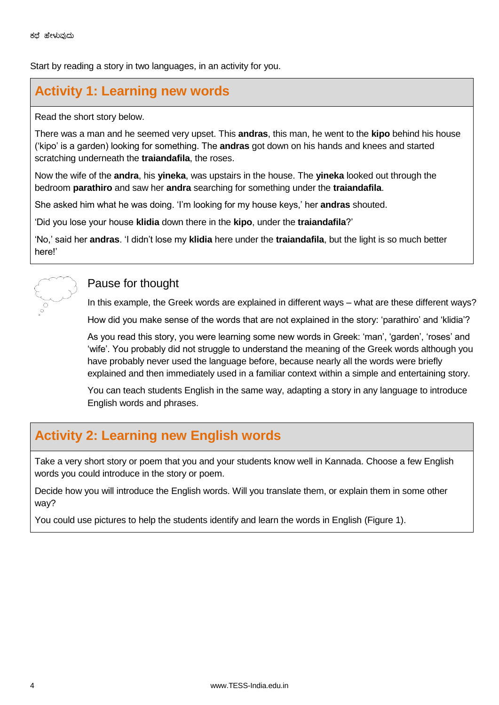Start by reading a story in two languages, in an activity for you.

## **Activity 1: Learning new words**

Read the short story below.

There was a man and he seemed very upset. This **andras**, this man, he went to the **kipo** behind his house ('kipo' is a garden) looking for something. The **andras** got down on his hands and knees and started scratching underneath the **traiandafila**, the roses.

Now the wife of the **andra**, his **yineka**, was upstairs in the house. The **yineka** looked out through the bedroom **parathiro** and saw her **andra** searching for something under the **traiandafila**.

She asked him what he was doing. 'I'm looking for my house keys,' her **andras** shouted.

'Did you lose your house **klidia** down there in the **kipo**, under the **traiandafila**?'

'No,' said her **andras**. 'I didn't lose my **klidia** here under the **traiandafila**, but the light is so much better here!'



## Pause for thought

In this example, the Greek words are explained in different ways – what are these different ways?

How did you make sense of the words that are not explained in the story: 'parathiro' and 'klidia'?

As you read this story, you were learning some new words in Greek: 'man', 'garden', 'roses' and 'wife'. You probably did not struggle to understand the meaning of the Greek words although you have probably never used the language before, because nearly all the words were briefly explained and then immediately used in a familiar context within a simple and entertaining story.

You can teach students English in the same way, adapting a story in any language to introduce English words and phrases.

## **Activity 2: Learning new English words**

Take a very short story or poem that you and your students know well in Kannada. Choose a few English words you could introduce in the story or poem.

Decide how you will introduce the English words. Will you translate them, or explain them in some other way?

You could use pictures to help the students identify and learn the words in English (Figure 1).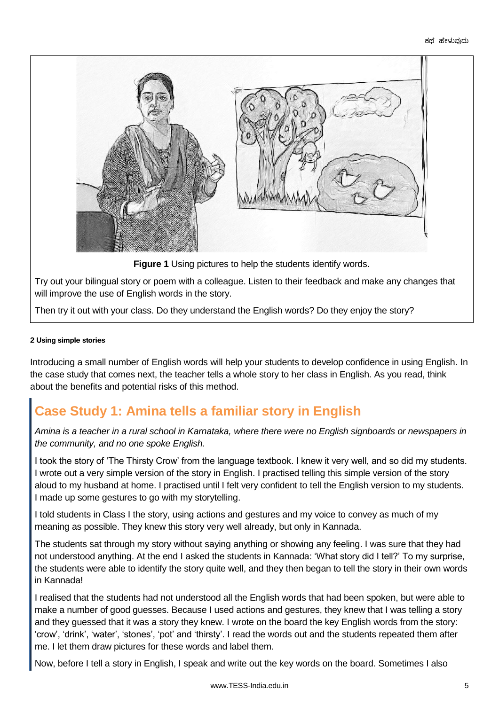

**Figure 1** Using pictures to help the students identify words.

Try out your bilingual story or poem with a colleague. Listen to their feedback and make any changes that will improve the use of English words in the story.

Then try it out with your class. Do they understand the English words? Do they enjoy the story?

#### **2 Using simple stories**

Introducing a small number of English words will help your students to develop confidence in using English. In the case study that comes next, the teacher tells a whole story to her class in English. As you read, think about the benefits and potential risks of this method.

## **Case Study 1: Amina tells a familiar story in English**

*Amina is a teacher in a rural school in Karnataka, where there were no English signboards or newspapers in the community, and no one spoke English.* 

I took the story of 'The Thirsty Crow' from the language textbook. I knew it very well, and so did my students. I wrote out a very simple version of the story in English. I practised telling this simple version of the story aloud to my husband at home. I practised until I felt very confident to tell the English version to my students. I made up some gestures to go with my storytelling.

I told students in Class I the story, using actions and gestures and my voice to convey as much of my meaning as possible. They knew this story very well already, but only in Kannada.

The students sat through my story without saying anything or showing any feeling. I was sure that they had not understood anything. At the end I asked the students in Kannada: 'What story did I tell?' To my surprise, the students were able to identify the story quite well, and they then began to tell the story in their own words in Kannada!

I realised that the students had not understood all the English words that had been spoken, but were able to make a number of good guesses. Because I used actions and gestures, they knew that I was telling a story and they guessed that it was a story they knew. I wrote on the board the key English words from the story: 'crow', 'drink', 'water', 'stones', 'pot' and 'thirsty'. I read the words out and the students repeated them after me. I let them draw pictures for these words and label them.

Now, before I tell a story in English, I speak and write out the key words on the board. Sometimes I also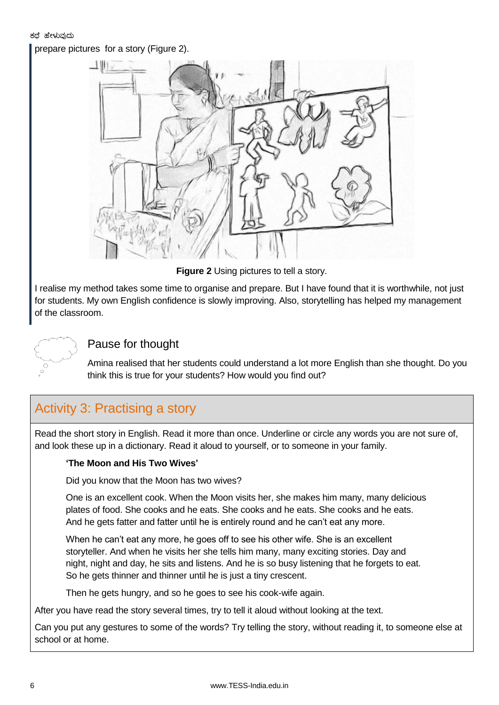ಕಥೆ ಹೇಳುವುದು

#### prepare pictures for a story (Figure 2).



**Figure 2** Using pictures to tell a story.

I realise my method takes some time to organise and prepare. But I have found that it is worthwhile, not just for students. My own English confidence is slowly improving. Also, storytelling has helped my management of the classroom.



## Pause for thought

Amina realised that her students could understand a lot more English than she thought. Do you think this is true for your students? How would you find out?

## Activity 3: Practising a story

Read the short story in English. Read it more than once. Underline or circle any words you are not sure of, and look these up in a dictionary. Read it aloud to yourself, or to someone in your family.

#### **'The Moon and His Two Wives'**

Did you know that the Moon has two wives?

One is an excellent cook. When the Moon visits her, she makes him many, many delicious plates of food. She cooks and he eats. She cooks and he eats. She cooks and he eats. And he gets fatter and fatter until he is entirely round and he can't eat any more.

When he can't eat any more, he goes off to see his other wife. She is an excellent storyteller. And when he visits her she tells him many, many exciting stories. Day and night, night and day, he sits and listens. And he is so busy listening that he forgets to eat. So he gets thinner and thinner until he is just a tiny crescent.

Then he gets hungry, and so he goes to see his cook-wife again.

After you have read the story several times, try to tell it aloud without looking at the text.

Can you put any gestures to some of the words? Try telling the story, without reading it, to someone else at school or at home.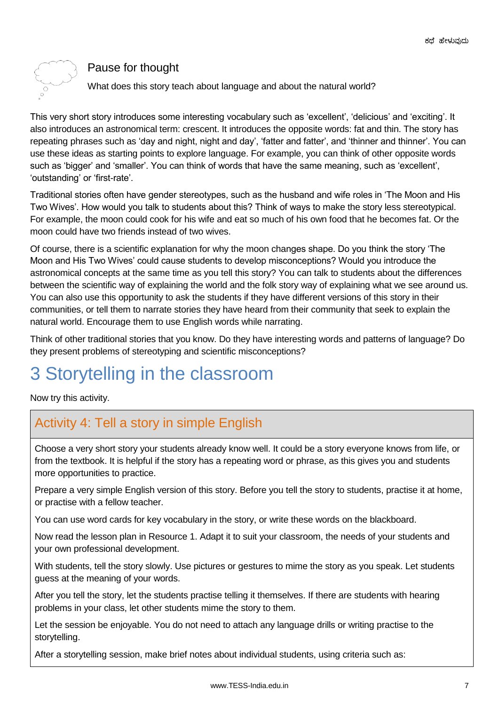## Pause for thought

What does this story teach about language and about the natural world?

This very short story introduces some interesting vocabulary such as 'excellent', 'delicious' and 'exciting'. It also introduces an astronomical term: crescent. It introduces the opposite words: fat and thin. The story has repeating phrases such as 'day and night, night and day', 'fatter and fatter', and 'thinner and thinner'. You can use these ideas as starting points to explore language. For example, you can think of other opposite words such as 'bigger' and 'smaller'. You can think of words that have the same meaning, such as 'excellent', 'outstanding' or 'first-rate'.

Traditional stories often have gender stereotypes, such as the husband and wife roles in 'The Moon and His Two Wives'. How would you talk to students about this? Think of ways to make the story less stereotypical. For example, the moon could cook for his wife and eat so much of his own food that he becomes fat. Or the moon could have two friends instead of two wives.

Of course, there is a scientific explanation for why the moon changes shape. Do you think the story 'The Moon and His Two Wives' could cause students to develop misconceptions? Would you introduce the astronomical concepts at the same time as you tell this story? You can talk to students about the differences between the scientific way of explaining the world and the folk story way of explaining what we see around us. You can also use this opportunity to ask the students if they have different versions of this story in their communities, or tell them to narrate stories they have heard from their community that seek to explain the natural world. Encourage them to use English words while narrating.

Think of other traditional stories that you know. Do they have interesting words and patterns of language? Do they present problems of stereotyping and scientific misconceptions?

# 3 Storytelling in the classroom

Now try this activity.

## Activity 4: Tell a story in simple English

Choose a very short story your students already know well. It could be a story everyone knows from life, or from the textbook. It is helpful if the story has a repeating word or phrase, as this gives you and students more opportunities to practice.

Prepare a very simple English version of this story. Before you tell the story to students, practise it at home, or practise with a fellow teacher.

You can use word cards for key vocabulary in the story, or write these words on the blackboard.

Now read the lesson plan in Resource 1. Adapt it to suit your classroom, the needs of your students and your own professional development.

With students, tell the story slowly. Use pictures or gestures to mime the story as you speak. Let students guess at the meaning of your words.

After you tell the story, let the students practise telling it themselves. If there are students with hearing problems in your class, let other students mime the story to them.

Let the session be enjoyable. You do not need to attach any language drills or writing practise to the storytelling.

After a storytelling session, make brief notes about individual students, using criteria such as: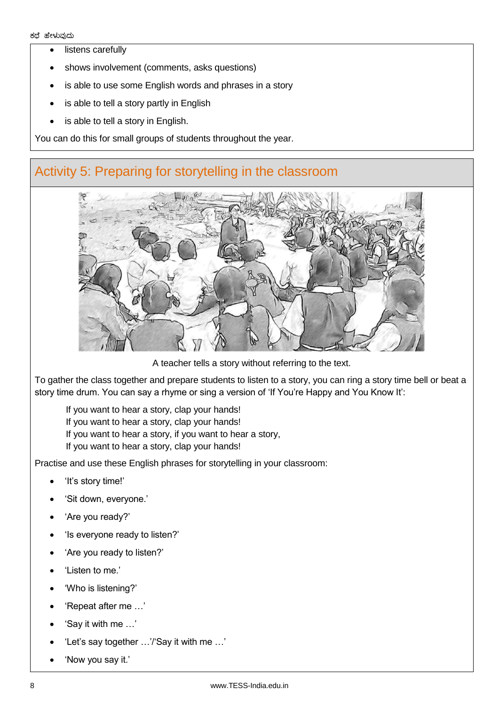- listens carefully
- shows involvement (comments, asks questions)
- is able to use some English words and phrases in a story
- is able to tell a story partly in English
- is able to tell a story in English.

You can do this for small groups of students throughout the year.

## Activity 5: Preparing for storytelling in the classroom



A teacher tells a story without referring to the text.

To gather the class together and prepare students to listen to a story, you can ring a story time bell or beat a story time drum. You can say a rhyme or sing a version of 'If You're Happy and You Know It':

If you want to hear a story, clap your hands! If you want to hear a story, clap your hands! If you want to hear a story, if you want to hear a story, If you want to hear a story, clap your hands!

Practise and use these English phrases for storytelling in your classroom:

- 'It's story time!'
- 'Sit down, everyone.'
- 'Are you ready?'
- 'Is everyone ready to listen?'
- 'Are you ready to listen?'
- 'Listen to me.'
- 'Who is listening?'
- 'Repeat after me …'
- 'Say it with me …'
- 'Let's say together …'/'Say it with me …'
- 'Now you say it.'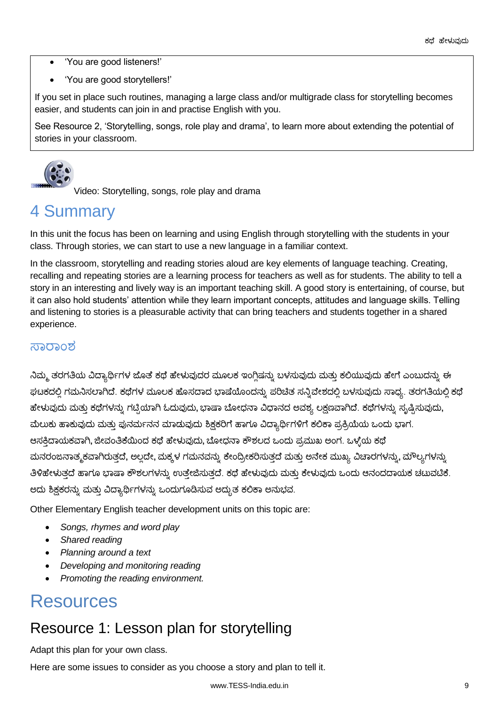- 'You are good listeners!'
- 'You are good storytellers!'

If you set in place such routines, managing a large class and/or multigrade class for storytelling becomes easier, and students can join in and practise English with you.

See Resource 2, 'Storytelling, songs, role play and drama', to learn more about extending the potential of stories in your classroom.



Video: Storytelling, songs, role play and drama

## 4 Summary

In this unit the focus has been on learning and using English through storytelling with the students in your class. Through stories, we can start to use a new language in a familiar context.

In the classroom, storytelling and reading stories aloud are key elements of language teaching. Creating, recalling and repeating stories are a learning process for teachers as well as for students. The ability to tell a story in an interesting and lively way is an important teaching skill. A good story is entertaining, of course, but it can also hold students' attention while they learn important concepts, attitudes and language skills. Telling and listening to stories is a pleasurable activity that can bring teachers and students together in a shared experience.

## ಸಹರಹಂವ

ನಿಮ್ಮ ತರಗತಿಯ ವಿದ್ಯಾರ್ಥಿಗಳ ಜೊತೆ ಕಥೆ ಹೇಳುವುದರ ಮೂಲಕ ಇಂಗ್ಲಿಷನ್ನು ಬಳಸುವುದು ಮತ್ತು ಕಲಿಯುವುದು ಹೇಗೆ ಎಂಬುದನ್ನು ಈ ಘಟಕದಲ್ಲಿ ಗಮನಿಸಲಾಗಿದೆ. ಕಥೆಗಳ ಮೂಲಕ ಹೊಸದಾದ ಭಾಷೆಯೊಂದನ್ನು ಪರಿಚಿತ ಸನ್ನಿವೇಶದಲ್ಲಿ ಬಳಸುವುದು ಸಾಧ್ಯ. ತರಗತಿಯಲ್ಲಿ ಕಥೆ ಹೇಳುವುದು ಮತು ಕಥೆಗಳನ್ನು ಗಟ್ಟಿಯಾಗಿ ಓದುವುದು, ಭಾಷಾ ಬೋಧನಾ ವಿಧಾನದ ಅವಶ್ಯ ಲಕ್ಷಣವಾಗಿದೆ. ಕಥೆಗಳನ್ನು ಸೃಷ್ಟಿಸುವುದು, ಮೆಲುಕು ಹಾಕುವುದು ಮತ್ತು ಪುನರ್ಮನನ ಮಾಡುವುದು ಶಿಕ್ಷಕರಿಗೆ ಹಾಗೂ ವಿದ್ಯಾರ್ಥಿಗಳಿಗೆ ಕಲಿಕಾ ಪ್ರಕ್ರಿಯೆಯ ಒಂದು ಭಾಗ. ಆಸಕ್ತಿದಾಯಕವಾಗಿ, ಜೀವಂತಿಕೆಯಿಂದ ಕಥೆ ಹೇಳುವುದು, ಬೋಧನಾ ಕೌಶಲದ ಒಂದು ಪ್ರಮುಖ ಅಂಗ. ಒಳ್ಳೆಯ ಕಥೆ ಮನರಂಜನಾತ್ಮಕವಾಗಿರುತ್ತದೆ, ಅಲ್ಲದೇ, ಮಕ್ಕಳ ಗಮನವನ್ನು ಕೇಂದ್ರೀಕರಿಸುತ್ತದೆ ಮತ್ತು ಅನೇಕ ಮುಖ್ಯ ವಿಚಾರಗಳನ್ನು, ಮೌಲ್ಯಗಳನ್ನು ತಿಳಿಹೇಳುತದೆ ಹಾಗೂ ಭಾಷಾ ಕೌಶಲಗಳನ್ನು ಉತೇಜಿಸುತದೆ. ಕಥೆ ಹೇಳುವುದು ಮತು ಕೇಳುವುದು ಒಂದು ಆನಂದದಾಯಕ ಚಟುವಟಿಕೆ. ಅದು ಶಿಕ್ಷಕರನ್ನು ಮತು ವಿದ್ಯಾರ್ಥಿಗಳನ್ನು ಒಂದುಗೂಡಿಸುವ ಅದ್ಭುತ ಕಲಿಕಾ ಅನುಭವ.

Other Elementary English teacher development units on this topic are:

- *Songs, rhymes and word play*
- *Shared reading*
- *Planning around a text*
- *Developing and monitoring reading*
- *Promoting the reading environment.*

# **Resources**

## Resource 1: Lesson plan for storytelling

Adapt this plan for your own class.

Here are some issues to consider as you choose a story and plan to tell it.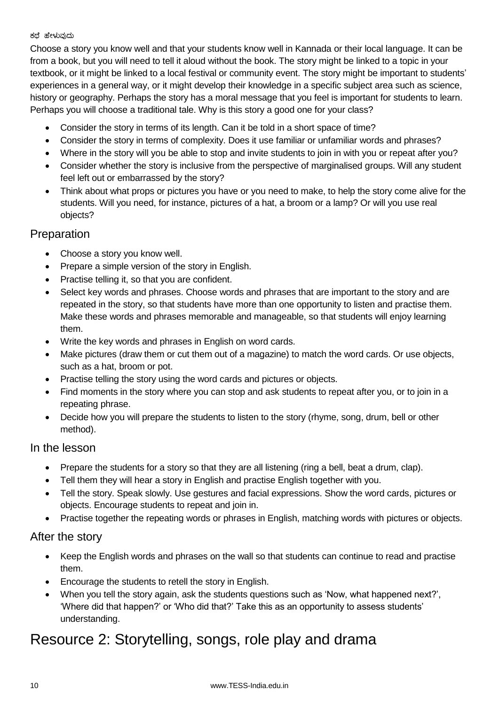#### ಕಥೆ ಹೇಳುವುದು

Choose a story you know well and that your students know well in Kannada or their local language. It can be from a book, but you will need to tell it aloud without the book. The story might be linked to a topic in your textbook, or it might be linked to a local festival or community event. The story might be important to students' experiences in a general way, or it might develop their knowledge in a specific subject area such as science, history or geography. Perhaps the story has a moral message that you feel is important for students to learn. Perhaps you will choose a traditional tale. Why is this story a good one for your class?

- Consider the story in terms of its length. Can it be told in a short space of time?
- Consider the story in terms of complexity. Does it use familiar or unfamiliar words and phrases?
- Where in the story will you be able to stop and invite students to join in with you or repeat after you?
- Consider whether the story is inclusive from the perspective of marginalised groups. Will any student feel left out or embarrassed by the story?
- Think about what props or pictures you have or you need to make, to help the story come alive for the students. Will you need, for instance, pictures of a hat, a broom or a lamp? Or will you use real objects?

## **Preparation**

- Choose a story you know well.
- Prepare a simple version of the story in English.
- Practise telling it, so that you are confident.
- Select key words and phrases. Choose words and phrases that are important to the story and are repeated in the story, so that students have more than one opportunity to listen and practise them. Make these words and phrases memorable and manageable, so that students will enjoy learning them.
- Write the key words and phrases in English on word cards.
- Make pictures (draw them or cut them out of a magazine) to match the word cards. Or use objects, such as a hat, broom or pot.
- Practise telling the story using the word cards and pictures or objects.
- Find moments in the story where you can stop and ask students to repeat after you, or to join in a repeating phrase.
- Decide how you will prepare the students to listen to the story (rhyme, song, drum, bell or other method).

#### In the lesson

- Prepare the students for a story so that they are all listening (ring a bell, beat a drum, clap).
- Tell them they will hear a story in English and practise English together with you.
- Tell the story. Speak slowly. Use gestures and facial expressions. Show the word cards, pictures or objects. Encourage students to repeat and join in.
- Practise together the repeating words or phrases in English, matching words with pictures or objects.

#### After the story

- Keep the English words and phrases on the wall so that students can continue to read and practise them.
- Encourage the students to retell the story in English.
- When you tell the story again, ask the students questions such as 'Now, what happened next?', 'Where did that happen?' or 'Who did that?' Take this as an opportunity to assess students' understanding.

## Resource 2: Storytelling, songs, role play and drama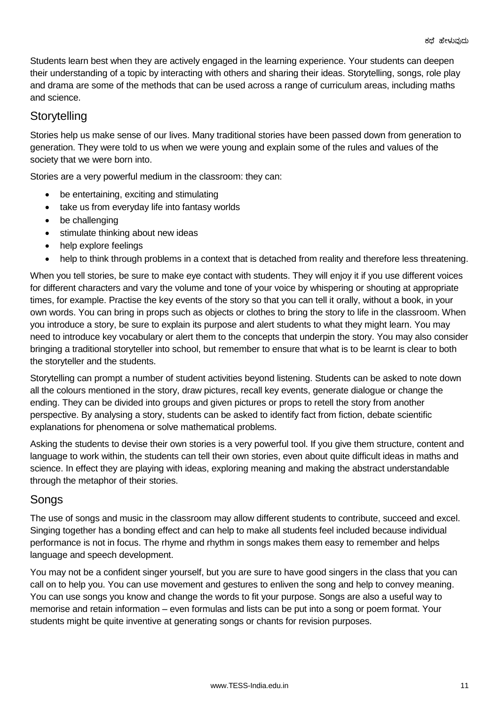Students learn best when they are actively engaged in the learning experience. Your students can deepen their understanding of a topic by interacting with others and sharing their ideas. Storytelling, songs, role play and drama are some of the methods that can be used across a range of curriculum areas, including maths and science.

## **Storytelling**

Stories help us make sense of our lives. Many traditional stories have been passed down from generation to generation. They were told to us when we were young and explain some of the rules and values of the society that we were born into.

Stories are a very powerful medium in the classroom: they can:

- be entertaining, exciting and stimulating
- take us from everyday life into fantasy worlds
- be challenging
- stimulate thinking about new ideas
- help explore feelings
- help to think through problems in a context that is detached from reality and therefore less threatening.

When you tell stories, be sure to make eye contact with students. They will enjoy it if you use different voices for different characters and vary the volume and tone of your voice by whispering or shouting at appropriate times, for example. Practise the key events of the story so that you can tell it orally, without a book, in your own words. You can bring in props such as objects or clothes to bring the story to life in the classroom. When you introduce a story, be sure to explain its purpose and alert students to what they might learn. You may need to introduce key vocabulary or alert them to the concepts that underpin the story. You may also consider bringing a traditional storyteller into school, but remember to ensure that what is to be learnt is clear to both the storyteller and the students.

Storytelling can prompt a number of student activities beyond listening. Students can be asked to note down all the colours mentioned in the story, draw pictures, recall key events, generate dialogue or change the ending. They can be divided into groups and given pictures or props to retell the story from another perspective. By analysing a story, students can be asked to identify fact from fiction, debate scientific explanations for phenomena or solve mathematical problems.

Asking the students to devise their own stories is a very powerful tool. If you give them structure, content and language to work within, the students can tell their own stories, even about quite difficult ideas in maths and science. In effect they are playing with ideas, exploring meaning and making the abstract understandable through the metaphor of their stories.

#### Songs

The use of songs and music in the classroom may allow different students to contribute, succeed and excel. Singing together has a bonding effect and can help to make all students feel included because individual performance is not in focus. The rhyme and rhythm in songs makes them easy to remember and helps language and speech development.

You may not be a confident singer yourself, but you are sure to have good singers in the class that you can call on to help you. You can use movement and gestures to enliven the song and help to convey meaning. You can use songs you know and change the words to fit your purpose. Songs are also a useful way to memorise and retain information – even formulas and lists can be put into a song or poem format. Your students might be quite inventive at generating songs or chants for revision purposes.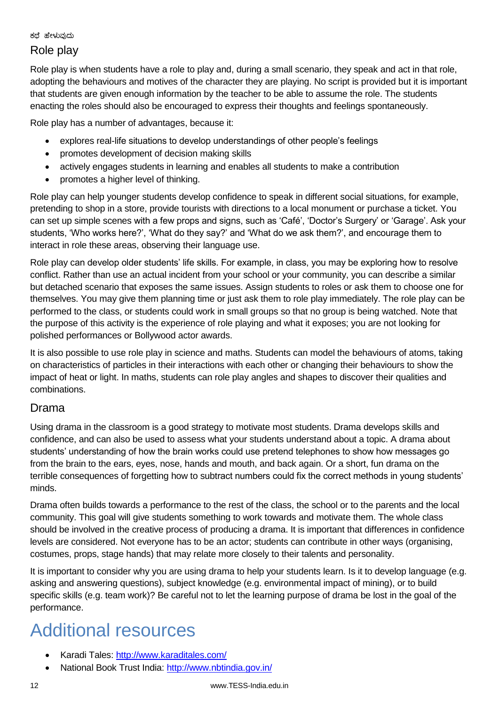#### ಕಥೆ ಹೇಳುವುದು

#### Role play

Role play is when students have a role to play and, during a small scenario, they speak and act in that role, adopting the behaviours and motives of the character they are playing. No script is provided but it is important that students are given enough information by the teacher to be able to assume the role. The students enacting the roles should also be encouraged to express their thoughts and feelings spontaneously.

Role play has a number of advantages, because it:

- explores real-life situations to develop understandings of other people's feelings
- promotes development of decision making skills
- actively engages students in learning and enables all students to make a contribution
- promotes a higher level of thinking.

Role play can help younger students develop confidence to speak in different social situations, for example, pretending to shop in a store, provide tourists with directions to a local monument or purchase a ticket. You can set up simple scenes with a few props and signs, such as 'Café', 'Doctor's Surgery' or 'Garage'. Ask your students, 'Who works here?', 'What do they say?' and 'What do we ask them?', and encourage them to interact in role these areas, observing their language use.

Role play can develop older students' life skills. For example, in class, you may be exploring how to resolve conflict. Rather than use an actual incident from your school or your community, you can describe a similar but detached scenario that exposes the same issues. Assign students to roles or ask them to choose one for themselves. You may give them planning time or just ask them to role play immediately. The role play can be performed to the class, or students could work in small groups so that no group is being watched. Note that the purpose of this activity is the experience of role playing and what it exposes; you are not looking for polished performances or Bollywood actor awards.

It is also possible to use role play in science and maths. Students can model the behaviours of atoms, taking on characteristics of particles in their interactions with each other or changing their behaviours to show the impact of heat or light. In maths, students can role play angles and shapes to discover their qualities and combinations.

## Drama

Using drama in the classroom is a good strategy to motivate most students. Drama develops skills and confidence, and can also be used to assess what your students understand about a topic. A drama about students' understanding of how the brain works could use pretend telephones to show how messages go from the brain to the ears, eyes, nose, hands and mouth, and back again. Or a short, fun drama on the terrible consequences of forgetting how to subtract numbers could fix the correct methods in young students' minds.

Drama often builds towards a performance to the rest of the class, the school or to the parents and the local community. This goal will give students something to work towards and motivate them. The whole class should be involved in the creative process of producing a drama. It is important that differences in confidence levels are considered. Not everyone has to be an actor; students can contribute in other ways (organising, costumes, props, stage hands) that may relate more closely to their talents and personality.

It is important to consider why you are using drama to help your students learn. Is it to develop language (e.g. asking and answering questions), subject knowledge (e.g. environmental impact of mining), or to build specific skills (e.g. team work)? Be careful not to let the learning purpose of drama be lost in the goal of the performance.

# Additional resources

- Karadi Tales:<http://www.karaditales.com/>
- National Book Trust India:<http://www.nbtindia.gov.in/>